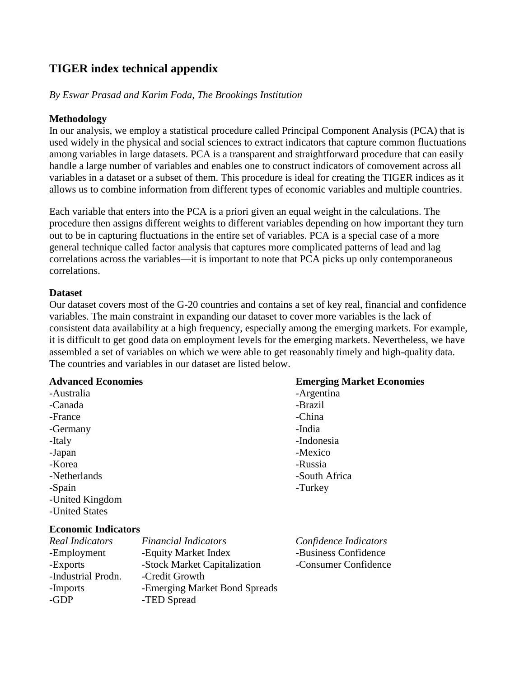# **TIGER index technical appendix**

## *By Eswar Prasad and Karim Foda, The Brookings Institution*

## **Methodology**

In our analysis, we employ a statistical procedure called Principal Component Analysis (PCA) that is used widely in the physical and social sciences to extract indicators that capture common fluctuations among variables in large datasets. PCA is a transparent and straightforward procedure that can easily handle a large number of variables and enables one to construct indicators of comovement across all variables in a dataset or a subset of them. This procedure is ideal for creating the TIGER indices as it allows us to combine information from different types of economic variables and multiple countries.

Each variable that enters into the PCA is a priori given an equal weight in the calculations. The procedure then assigns different weights to different variables depending on how important they turn out to be in capturing fluctuations in the entire set of variables. PCA is a special case of a more general technique called factor analysis that captures more complicated patterns of lead and lag correlations across the variables—it is important to note that PCA picks up only contemporaneous correlations.

### **Dataset**

Our dataset covers most of the G-20 countries and contains a set of key real, financial and confidence variables. The main constraint in expanding our dataset to cover more variables is the lack of consistent data availability at a high frequency, especially among the emerging markets. For example, it is difficult to get good data on employment levels for the emerging markets. Nevertheless, we have assembled a set of variables on which we were able to get reasonably timely and high-quality data. The countries and variables in our dataset are listed below.

#### **Advanced Economies Emerging Market Economies**

| -Australia      | -Argentina    |
|-----------------|---------------|
| -Canada         | -Brazil       |
| -France         | -China        |
| -Germany        | -India        |
| -Italy          | -Indonesia    |
| -Japan          | -Mexico       |
| -Korea          | -Russia       |
| -Netherlands    | -South Africa |
| -Spain          | -Turkey       |
| -United Kingdom |               |
| -United States  |               |
|                 |               |

### **Economic Indicators**

| Real Indicators    | <b>Financial Indicators</b>   | Confidence Indicators |
|--------------------|-------------------------------|-----------------------|
| -Employment        | -Equity Market Index          | -Business Confidence  |
| -Exports           | -Stock Market Capitalization  | -Consumer Confidence  |
| -Industrial Prodn. | -Credit Growth                |                       |
| -Imports           | -Emerging Market Bond Spreads |                       |
| -GDP               | -TED Spread                   |                       |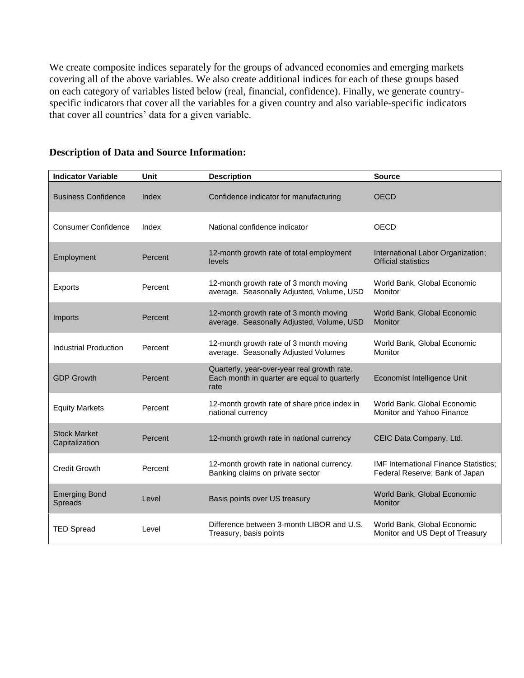We create composite indices separately for the groups of advanced economies and emerging markets covering all of the above variables. We also create additional indices for each of these groups based on each category of variables listed below (real, financial, confidence). Finally, we generate countryspecific indicators that cover all the variables for a given country and also variable-specific indicators that cover all countries' data for a given variable.

| <b>Indicator Variable</b>              | <b>Unit</b> | <b>Description</b>                                                                                  | <b>Source</b>                                                                  |
|----------------------------------------|-------------|-----------------------------------------------------------------------------------------------------|--------------------------------------------------------------------------------|
| <b>Business Confidence</b>             | Index       | Confidence indicator for manufacturing                                                              | <b>OECD</b>                                                                    |
| <b>Consumer Confidence</b>             | Index       | National confidence indicator                                                                       | <b>OECD</b>                                                                    |
| Employment                             | Percent     | 12-month growth rate of total employment<br>levels                                                  | International Labor Organization;<br><b>Official statistics</b>                |
| Exports                                | Percent     | 12-month growth rate of 3 month moving<br>average. Seasonally Adjusted, Volume, USD                 | World Bank, Global Economic<br>Monitor                                         |
| Imports                                | Percent     | 12-month growth rate of 3 month moving<br>average. Seasonally Adjusted, Volume, USD                 | World Bank, Global Economic<br>Monitor                                         |
| <b>Industrial Production</b>           | Percent     | 12-month growth rate of 3 month moving<br>average. Seasonally Adjusted Volumes                      | World Bank, Global Economic<br>Monitor                                         |
| <b>GDP Growth</b>                      | Percent     | Quarterly, year-over-year real growth rate.<br>Each month in quarter are equal to quarterly<br>rate | Economist Intelligence Unit                                                    |
| <b>Equity Markets</b>                  | Percent     | 12-month growth rate of share price index in<br>national currency                                   | World Bank, Global Economic<br>Monitor and Yahoo Finance                       |
| <b>Stock Market</b><br>Capitalization  | Percent     | 12-month growth rate in national currency                                                           | CEIC Data Company, Ltd.                                                        |
| <b>Credit Growth</b>                   | Percent     | 12-month growth rate in national currency.<br>Banking claims on private sector                      | <b>IMF International Finance Statistics:</b><br>Federal Reserve; Bank of Japan |
| <b>Emerging Bond</b><br><b>Spreads</b> | Level       | Basis points over US treasury                                                                       | World Bank, Global Economic<br><b>Monitor</b>                                  |
| <b>TED Spread</b>                      | Level       | Difference between 3-month LIBOR and U.S.<br>Treasury, basis points                                 | World Bank, Global Economic<br>Monitor and US Dept of Treasury                 |

# **Description of Data and Source Information:**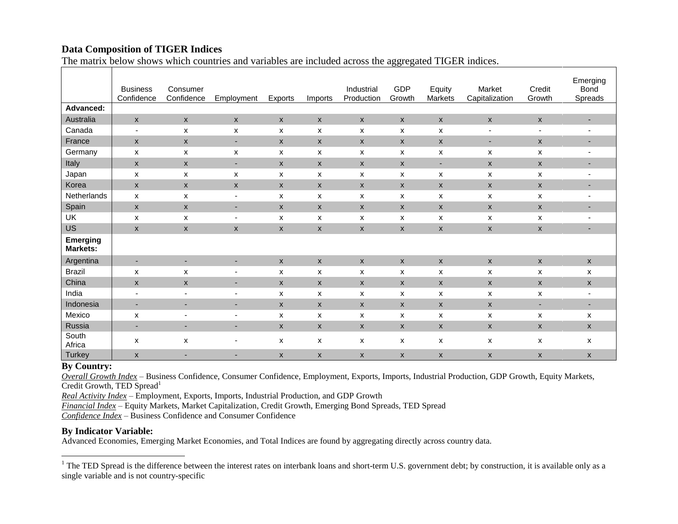## **Data Composition of TIGER Indices**

The matrix below shows which countries and variables are included across the aggregated TIGER indices.

|                                    | <b>Business</b><br>Confidence | Consumer<br>Confidence    | Employment                | Exports            | Imports                   | Industrial<br>Production  | <b>GDP</b><br>Growth | Equity<br>Markets  | Market<br>Capitalization | Credit<br>Growth          | Emerging<br>Bond<br>Spreads |
|------------------------------------|-------------------------------|---------------------------|---------------------------|--------------------|---------------------------|---------------------------|----------------------|--------------------|--------------------------|---------------------------|-----------------------------|
| Advanced:                          |                               |                           |                           |                    |                           |                           |                      |                    |                          |                           |                             |
| Australia                          | $\pmb{\mathsf{X}}$            | $\mathsf{x}$              | $\pmb{\mathsf{X}}$        | $\pmb{\mathsf{X}}$ | $\mathsf{x}$              | $\pmb{\times}$            | X                    | $\mathsf{x}$       | $\mathsf{X}$             | $\pmb{\mathsf{X}}$        | $\blacksquare$              |
| Canada                             | $\overline{\phantom{a}}$      | $\boldsymbol{\mathsf{x}}$ | X                         | X                  | X                         | X                         | x                    | x                  | ٠                        | $\overline{\phantom{a}}$  | $\overline{\phantom{a}}$    |
| France                             | $\pmb{\mathsf{X}}$            | $\pmb{\chi}$              | ٠                         | $\pmb{\times}$     | $\boldsymbol{\mathsf{x}}$ | $\boldsymbol{\mathsf{x}}$ | $\pmb{\mathsf{X}}$   | $\mathsf{x}$       | ٠                        | $\pmb{\mathsf{X}}$        | $\overline{\phantom{a}}$    |
| Germany                            | x                             | $\pmb{\mathsf{x}}$        | X                         | $\pmb{\times}$     | $\pmb{\mathsf{x}}$        | $\pmb{\times}$            | X                    | x                  | X                        | X                         | $\blacksquare$              |
| Italy                              | $\pmb{\mathsf{X}}$            | $\mathsf{x}$              | $\overline{\phantom{a}}$  | $\mathsf{x}$       | $\mathsf{x}$              | $\pmb{\mathsf{X}}$        | X                    | $\blacksquare$     | $\mathsf{x}$             | $\pmb{\mathsf{X}}$        | ٠                           |
| Japan                              | x                             | X                         | X                         | X                  | X                         | X                         | x                    | x                  | X                        | X                         | $\overline{\phantom{a}}$    |
| Korea                              | $\pmb{\mathsf{X}}$            | $\boldsymbol{\mathsf{x}}$ | $\boldsymbol{\mathsf{X}}$ | $\mathsf{x}$       | $\mathsf{x}$              | $\boldsymbol{\mathsf{x}}$ | X                    | X                  | $\mathsf{x}$             | $\pmb{\mathsf{X}}$        | $\overline{\phantom{a}}$    |
| Netherlands                        | X                             | X                         | $\overline{\phantom{a}}$  | X                  | X                         | X                         | X                    | x                  | X                        | X                         | $\blacksquare$              |
| Spain                              | $\pmb{\mathsf{X}}$            | $\boldsymbol{\mathsf{x}}$ | $\overline{\phantom{a}}$  | $\pmb{\mathsf{X}}$ | $\boldsymbol{X}$          | $\boldsymbol{\mathsf{x}}$ | X                    | X                  | $\pmb{\mathsf{X}}$       | $\boldsymbol{X}$          | ٠                           |
| UK                                 | $\pmb{\times}$                | X                         | $\overline{\phantom{a}}$  | $\pmb{\times}$     | x                         | X                         | x                    | x                  | X                        | X                         | $\overline{\phantom{a}}$    |
| <b>US</b>                          | $\pmb{\mathsf{X}}$            | $\mathsf{x}$              | $\mathsf{x}$              | $\pmb{\mathsf{X}}$ | $\mathsf{x}$              | $\pmb{\mathsf{X}}$        | X                    | X                  | $\mathsf{x}$             | X                         | ٠                           |
| <b>Emerging</b><br><b>Markets:</b> |                               |                           |                           |                    |                           |                           |                      |                    |                          |                           |                             |
| Argentina                          | $\overline{\phantom{a}}$      | $\blacksquare$            | $\overline{\phantom{a}}$  | $\mathsf{x}$       | $\mathsf{x}$              | $\boldsymbol{\mathsf{x}}$ | $\mathsf{x}$         | $\pmb{\mathsf{X}}$ | $\mathsf{x}$             | $\boldsymbol{\mathsf{X}}$ | X                           |
| <b>Brazil</b>                      | x                             | X                         | $\overline{\phantom{a}}$  | X                  | x                         | X                         | x                    | x                  | X                        | X                         | X                           |
| China                              | $\mathsf{x}$                  | $\mathsf{x}$              | ٠                         | $\mathsf{x}$       | $\mathsf{x}$              | $\mathsf{x}$              | X                    | $\mathsf{X}$       | $\mathsf{x}$             | $\mathsf{x}$              | X                           |
| India                              | $\blacksquare$                | $\overline{\phantom{a}}$  | $\overline{\phantom{a}}$  | X                  | X                         | X                         | X                    | x                  | X                        | X                         | $\blacksquare$              |
| Indonesia                          | $\overline{\phantom{a}}$      | ٠                         | $\overline{\phantom{a}}$  | $\mathsf{x}$       | $\pmb{\chi}$              | $\boldsymbol{\mathsf{x}}$ | X                    | X                  | $\mathsf{x}$             | $\overline{\phantom{a}}$  | $\overline{\phantom{a}}$    |
| Mexico                             | X                             | $\overline{\phantom{a}}$  | $\overline{\phantom{a}}$  | X                  | X                         | X                         | x                    | x                  | X                        | X                         | x                           |
| Russia                             | $\blacksquare$                | ٠                         | ٠                         | X                  | $\mathsf{x}$              | $\pmb{\mathsf{X}}$        | X                    | X                  | $\mathsf{x}$             | $\boldsymbol{X}$          | X                           |
| South<br>Africa                    | x                             | X                         | $\overline{\phantom{a}}$  | X                  | x                         | X                         | x                    | x                  | X                        | X                         | X                           |
| <b>Turkey</b>                      | $\pmb{\times}$                |                           |                           | X                  | $\pmb{\times}$            | $\boldsymbol{\mathsf{x}}$ | X                    | X                  | $\boldsymbol{X}$         | $\boldsymbol{X}$          | X                           |

#### **By Country:**

 $\overline{a}$ 

*Overall Growth Index* – Business Confidence, Consumer Confidence, Employment, Exports, Imports, Industrial Production, GDP Growth, Equity Markets, Credit Growth, TED Spread<sup>1</sup>

*Real Activity Index* – Employment, Exports, Imports, Industrial Production, and GDP Growth

*Financial Index* – Equity Markets, Market Capitalization, Credit Growth, Emerging Bond Spreads, TED Spread

*Confidence Index* – Business Confidence and Consumer Confidence

### **By Indicator Variable:**

Advanced Economies, Emerging Market Economies, and Total Indices are found by aggregating directly across country data.

 $1$  The TED Spread is the difference between the interest rates on interbank loans and short-term U.S. government debt; by construction, it is available only as a single variable and is not country-specific